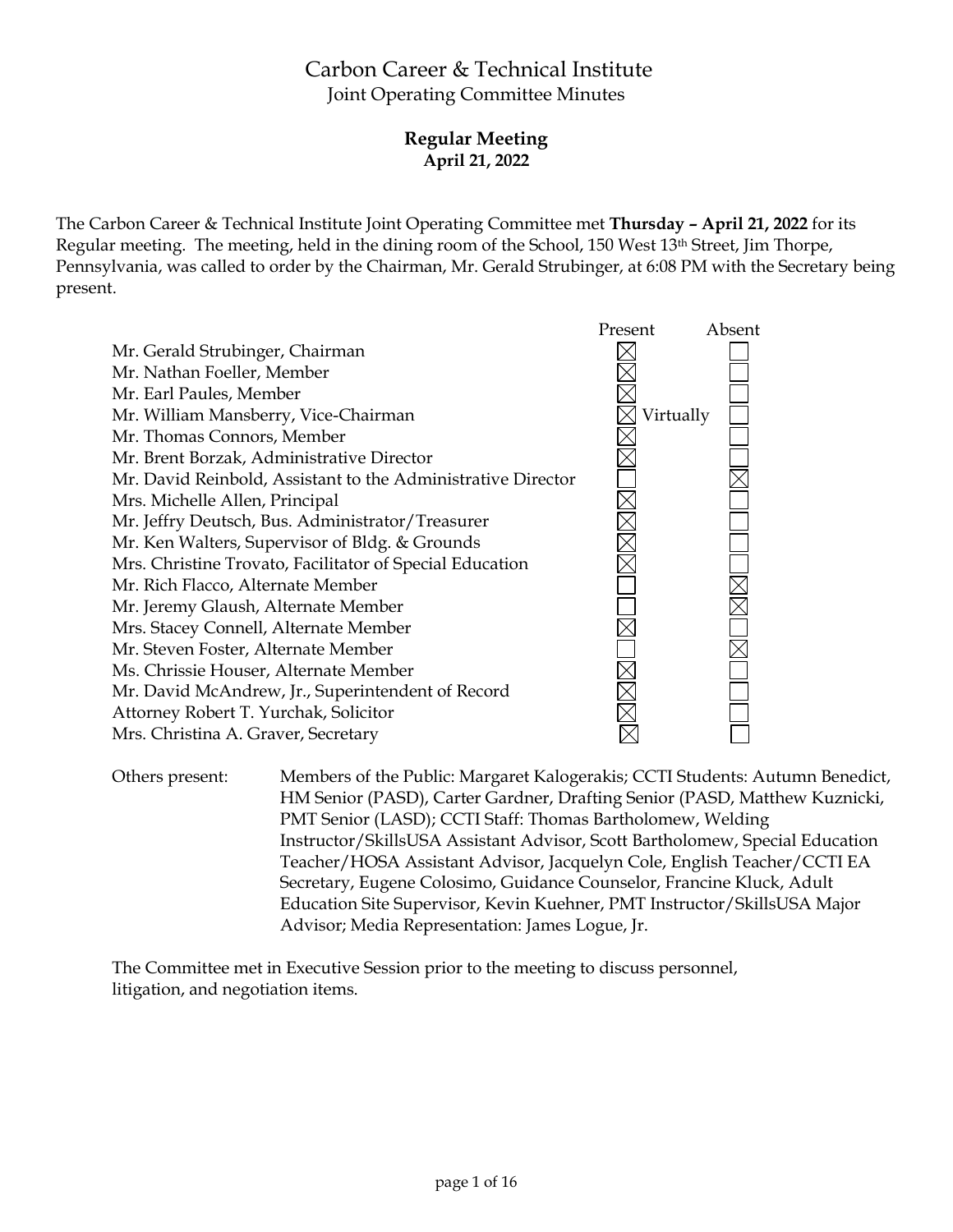# Carbon Career & Technical Institute Joint Operating Committee Minutes

# **Regular Meeting April 21, 2022**

The Carbon Career & Technical Institute Joint Operating Committee met **Thursday – April 21, 2022** for its Regular meeting. The meeting, held in the dining room of the School, 150 West 13th Street, Jim Thorpe, Pennsylvania, was called to order by the Chairman, Mr. Gerald Strubinger, at 6:08 PM with the Secretary being present.



Others present: Members of the Public: Margaret Kalogerakis; CCTI Students: Autumn Benedict, HM Senior (PASD), Carter Gardner, Drafting Senior (PASD, Matthew Kuznicki, PMT Senior (LASD); CCTI Staff: Thomas Bartholomew, Welding Instructor/SkillsUSA Assistant Advisor, Scott Bartholomew, Special Education Teacher/HOSA Assistant Advisor, Jacquelyn Cole, English Teacher/CCTI EA Secretary, Eugene Colosimo, Guidance Counselor, Francine Kluck, Adult Education Site Supervisor, Kevin Kuehner, PMT Instructor/SkillsUSA Major Advisor; Media Representation: James Logue, Jr.

The Committee met in Executive Session prior to the meeting to discuss personnel, litigation, and negotiation items.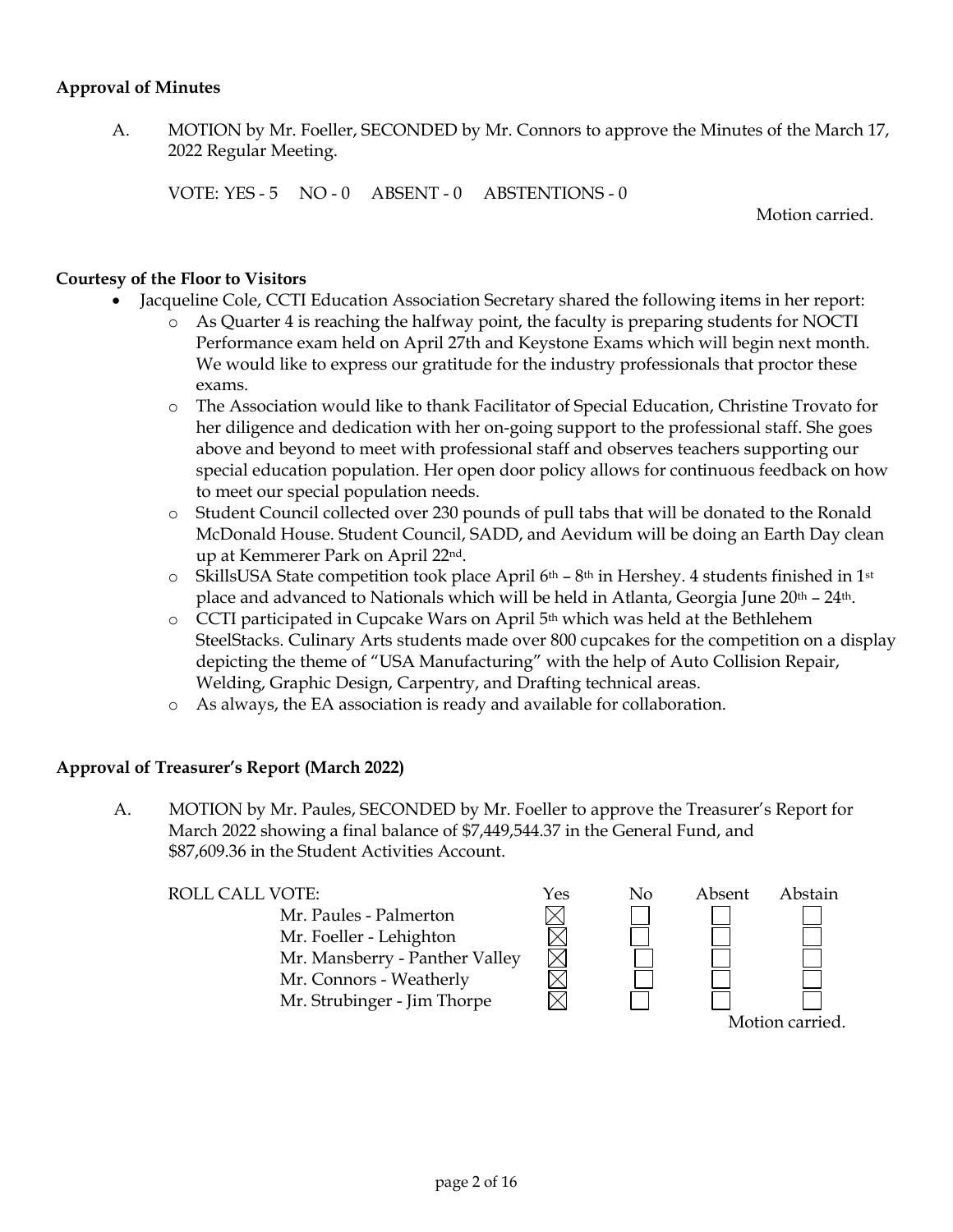#### **Approval of Minutes**

A. MOTION by Mr. Foeller, SECONDED by Mr. Connors to approve the Minutes of the March 17, 2022 Regular Meeting.

VOTE: YES - 5 NO - 0 ABSENT - 0 ABSTENTIONS - 0

Motion carried.

#### **Courtesy of the Floor to Visitors**

- Jacqueline Cole, CCTI Education Association Secretary shared the following items in her report:
	- o As Quarter 4 is reaching the halfway point, the faculty is preparing students for NOCTI Performance exam held on April 27th and Keystone Exams which will begin next month. We would like to express our gratitude for the industry professionals that proctor these exams.
	- o The Association would like to thank Facilitator of Special Education, Christine Trovato for her diligence and dedication with her on-going support to the professional staff. She goes above and beyond to meet with professional staff and observes teachers supporting our special education population. Her open door policy allows for continuous feedback on how to meet our special population needs.
	- o Student Council collected over 230 pounds of pull tabs that will be donated to the Ronald McDonald House. Student Council, SADD, and Aevidum will be doing an Earth Day clean up at Kemmerer Park on April 22nd.
	- $\circ$  SkillsUSA State competition took place April 6<sup>th</sup> 8<sup>th</sup> in Hershey. 4 students finished in 1<sup>st</sup> place and advanced to Nationals which will be held in Atlanta, Georgia June 20<sup>th</sup> - 24<sup>th</sup>.
	- $\circ$  CCTI participated in Cupcake Wars on April 5<sup>th</sup> which was held at the Bethlehem SteelStacks. Culinary Arts students made over 800 cupcakes for the competition on a display depicting the theme of "USA Manufacturing" with the help of Auto Collision Repair, Welding, Graphic Design, Carpentry, and Drafting technical areas.
	- o As always, the EA association is ready and available for collaboration.

#### **Approval of Treasurer's Report (March 2022)**

A. MOTION by Mr. Paules, SECONDED by Mr. Foeller to approve the Treasurer's Report for March 2022 showing a final balance of \$7,449,544.37 in the General Fund, and \$87,609.36 in the Student Activities Account.

Mr. Paules - Palmerton Mr. Foeller - Lehighton Mr. Mansberry - Panther Valley Mr. Connors - Weatherly Mr. Strubinger - Jim Thorpe

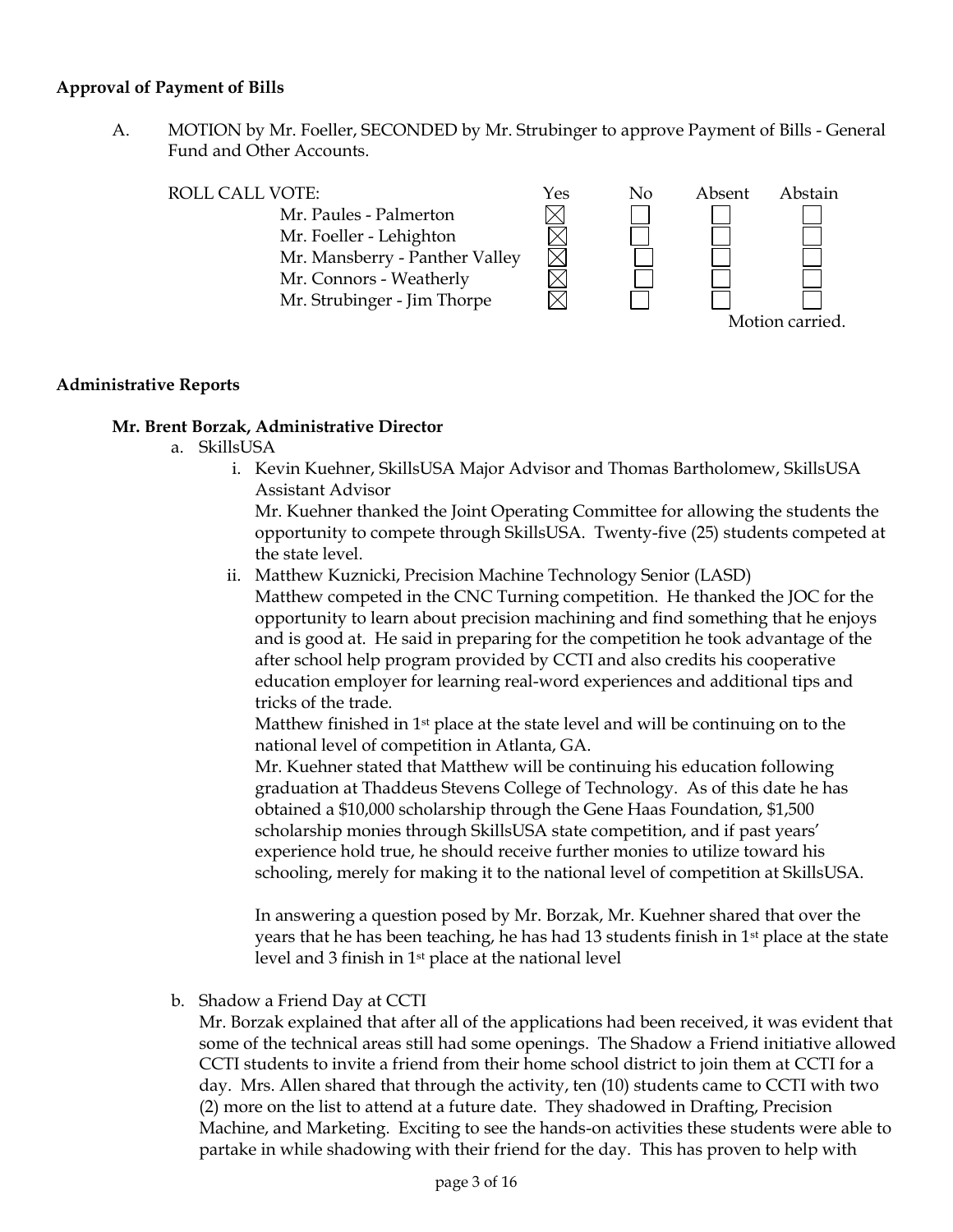#### **Approval of Payment of Bills**

A. MOTION by Mr. Foeller, SECONDED by Mr. Strubinger to approve Payment of Bills - General Fund and Other Accounts.



#### **Administrative Reports**

#### **Mr. Brent Borzak, Administrative Director**

- a. SkillsUSA
	- i. Kevin Kuehner, SkillsUSA Major Advisor and Thomas Bartholomew, SkillsUSA Assistant Advisor

Mr. Kuehner thanked the Joint Operating Committee for allowing the students the opportunity to compete through SkillsUSA. Twenty-five (25) students competed at the state level.

ii. Matthew Kuznicki, Precision Machine Technology Senior (LASD) Matthew competed in the CNC Turning competition. He thanked the JOC for the opportunity to learn about precision machining and find something that he enjoys and is good at. He said in preparing for the competition he took advantage of the after school help program provided by CCTI and also credits his cooperative education employer for learning real-word experiences and additional tips and tricks of the trade.

Matthew finished in  $1<sup>st</sup>$  place at the state level and will be continuing on to the national level of competition in Atlanta, GA.

Mr. Kuehner stated that Matthew will be continuing his education following graduation at Thaddeus Stevens College of Technology. As of this date he has obtained a \$10,000 scholarship through the Gene Haas Foundation, \$1,500 scholarship monies through SkillsUSA state competition, and if past years' experience hold true, he should receive further monies to utilize toward his schooling, merely for making it to the national level of competition at SkillsUSA.

In answering a question posed by Mr. Borzak, Mr. Kuehner shared that over the years that he has been teaching, he has had 13 students finish in 1st place at the state level and 3 finish in 1st place at the national level

b. Shadow a Friend Day at CCTI

Mr. Borzak explained that after all of the applications had been received, it was evident that some of the technical areas still had some openings. The Shadow a Friend initiative allowed CCTI students to invite a friend from their home school district to join them at CCTI for a day. Mrs. Allen shared that through the activity, ten (10) students came to CCTI with two (2) more on the list to attend at a future date. They shadowed in Drafting, Precision Machine, and Marketing. Exciting to see the hands-on activities these students were able to partake in while shadowing with their friend for the day. This has proven to help with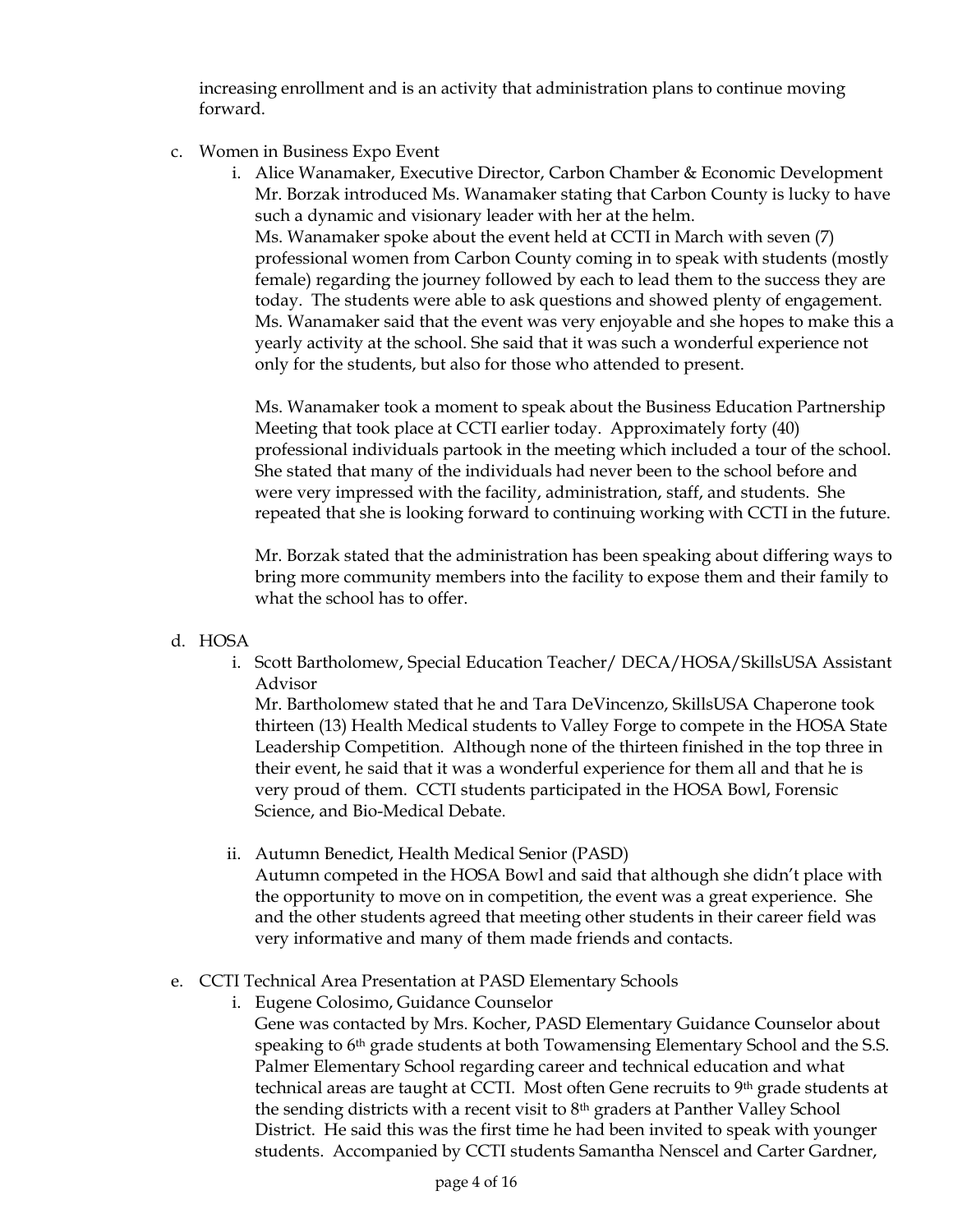increasing enrollment and is an activity that administration plans to continue moving forward.

- c. Women in Business Expo Event
	- i. Alice Wanamaker, Executive Director, Carbon Chamber & Economic Development Mr. Borzak introduced Ms. Wanamaker stating that Carbon County is lucky to have such a dynamic and visionary leader with her at the helm. Ms. Wanamaker spoke about the event held at CCTI in March with seven (7) professional women from Carbon County coming in to speak with students (mostly female) regarding the journey followed by each to lead them to the success they are today. The students were able to ask questions and showed plenty of engagement.

Ms. Wanamaker said that the event was very enjoyable and she hopes to make this a yearly activity at the school. She said that it was such a wonderful experience not only for the students, but also for those who attended to present.

Ms. Wanamaker took a moment to speak about the Business Education Partnership Meeting that took place at CCTI earlier today. Approximately forty (40) professional individuals partook in the meeting which included a tour of the school. She stated that many of the individuals had never been to the school before and were very impressed with the facility, administration, staff, and students. She repeated that she is looking forward to continuing working with CCTI in the future.

Mr. Borzak stated that the administration has been speaking about differing ways to bring more community members into the facility to expose them and their family to what the school has to offer.

# d. HOSA

i. Scott Bartholomew, Special Education Teacher/ DECA/HOSA/SkillsUSA Assistant Advisor

Mr. Bartholomew stated that he and Tara DeVincenzo, SkillsUSA Chaperone took thirteen (13) Health Medical students to Valley Forge to compete in the HOSA State Leadership Competition. Although none of the thirteen finished in the top three in their event, he said that it was a wonderful experience for them all and that he is very proud of them. CCTI students participated in the HOSA Bowl, Forensic Science, and Bio-Medical Debate.

ii. Autumn Benedict, Health Medical Senior (PASD) Autumn competed in the HOSA Bowl and said that although she didn't place with the opportunity to move on in competition, the event was a great experience. She and the other students agreed that meeting other students in their career field was very informative and many of them made friends and contacts.

# e. CCTI Technical Area Presentation at PASD Elementary Schools

i. Eugene Colosimo, Guidance Counselor

Gene was contacted by Mrs. Kocher, PASD Elementary Guidance Counselor about speaking to 6<sup>th</sup> grade students at both Towamensing Elementary School and the S.S. Palmer Elementary School regarding career and technical education and what technical areas are taught at CCTI. Most often Gene recruits to 9th grade students at the sending districts with a recent visit to 8th graders at Panther Valley School District. He said this was the first time he had been invited to speak with younger students. Accompanied by CCTI students Samantha Nenscel and Carter Gardner,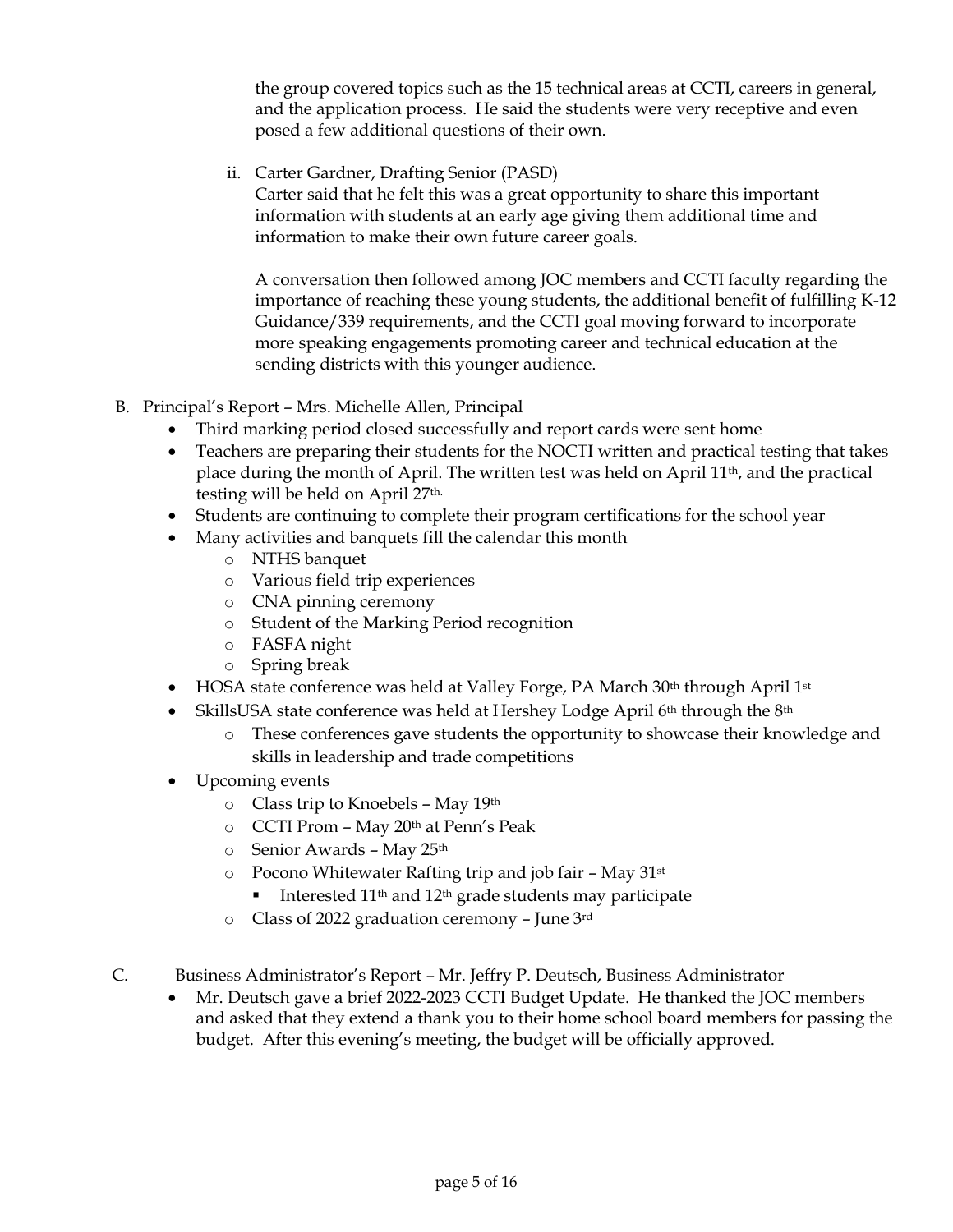the group covered topics such as the 15 technical areas at CCTI, careers in general, and the application process. He said the students were very receptive and even posed a few additional questions of their own.

ii. Carter Gardner, Drafting Senior (PASD)

Carter said that he felt this was a great opportunity to share this important information with students at an early age giving them additional time and information to make their own future career goals.

A conversation then followed among JOC members and CCTI faculty regarding the importance of reaching these young students, the additional benefit of fulfilling K-12 Guidance/339 requirements, and the CCTI goal moving forward to incorporate more speaking engagements promoting career and technical education at the sending districts with this younger audience.

- B. Principal's Report Mrs. Michelle Allen, Principal
	- Third marking period closed successfully and report cards were sent home
	- Teachers are preparing their students for the NOCTI written and practical testing that takes place during the month of April. The written test was held on April 11th, and the practical testing will be held on April 27th.
	- Students are continuing to complete their program certifications for the school year
	- Many activities and banquets fill the calendar this month
		- o NTHS banquet
		- o Various field trip experiences
		- o CNA pinning ceremony
		- o Student of the Marking Period recognition
		- o FASFA night
		- o Spring break
	- HOSA state conference was held at Valley Forge, PA March 30<sup>th</sup> through April 1<sup>st</sup>
	- SkillsUSA state conference was held at Hershey Lodge April  $6<sup>th</sup>$  through the  $8<sup>th</sup>$ 
		- o These conferences gave students the opportunity to showcase their knowledge and skills in leadership and trade competitions
	- Upcoming events
		- o Class trip to Knoebels May 19th
		- o CCTI Prom May 20th at Penn's Peak
		- o Senior Awards May 25th
		- $\circ$  Pocono Whitewater Rafting trip and job fair May 31st
			- Interested 11th and 12th grade students may participate
		- o Class of 2022 graduation ceremony June 3rd
- C. Business Administrator's Report Mr. Jeffry P. Deutsch, Business Administrator
	- Mr. Deutsch gave a brief 2022-2023 CCTI Budget Update. He thanked the JOC members and asked that they extend a thank you to their home school board members for passing the budget. After this evening's meeting, the budget will be officially approved.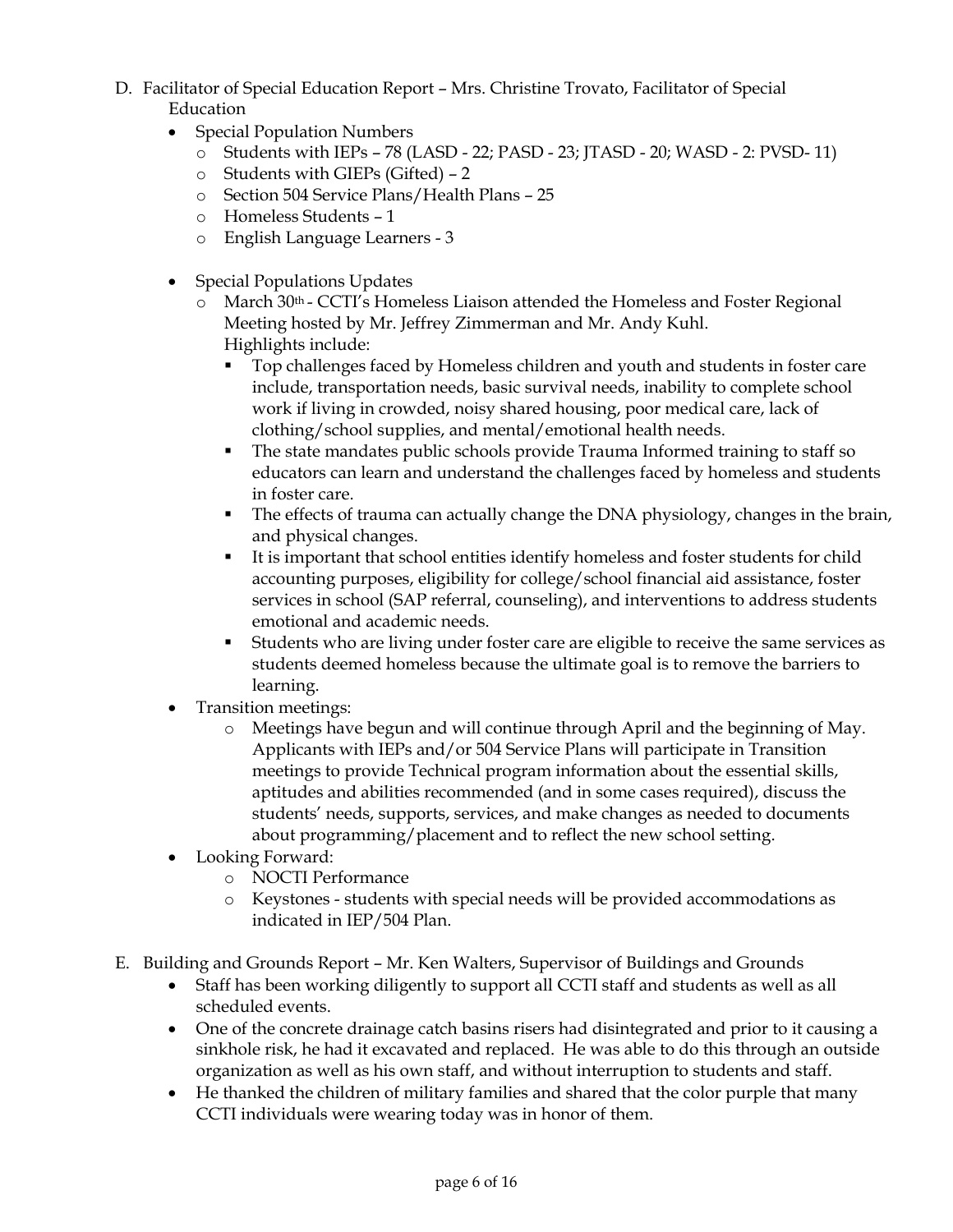- D. Facilitator of Special Education Report Mrs. Christine Trovato, Facilitator of Special Education
	- Special Population Numbers
		- o Students with IEPs 78 (LASD 22; PASD 23; JTASD 20; WASD 2: PVSD- 11)
		- o Students with GIEPs (Gifted) 2
		- o Section 504 Service Plans/Health Plans 25
		- o Homeless Students 1
		- o English Language Learners 3
	- Special Populations Updates
		- $\circ$  March 30<sup>th</sup> CCTI's Homeless Liaison attended the Homeless and Foster Regional Meeting hosted by Mr. Jeffrey Zimmerman and Mr. Andy Kuhl. Highlights include:
			- Top challenges faced by Homeless children and youth and students in foster care include, transportation needs, basic survival needs, inability to complete school work if living in crowded, noisy shared housing, poor medical care, lack of clothing/school supplies, and mental/emotional health needs.
			- The state mandates public schools provide Trauma Informed training to staff so educators can learn and understand the challenges faced by homeless and students in foster care.
			- The effects of trauma can actually change the DNA physiology, changes in the brain, and physical changes.
			- It is important that school entities identify homeless and foster students for child accounting purposes, eligibility for college/school financial aid assistance, foster services in school (SAP referral, counseling), and interventions to address students emotional and academic needs.
			- Students who are living under foster care are eligible to receive the same services as students deemed homeless because the ultimate goal is to remove the barriers to learning.
	- Transition meetings:
		- o Meetings have begun and will continue through April and the beginning of May. Applicants with IEPs and/or 504 Service Plans will participate in Transition meetings to provide Technical program information about the essential skills, aptitudes and abilities recommended (and in some cases required), discuss the students' needs, supports, services, and make changes as needed to documents about programming/placement and to reflect the new school setting.
	- Looking Forward:
		- o NOCTI Performance
		- o Keystones students with special needs will be provided accommodations as indicated in IEP/504 Plan.
- E. Building and Grounds Report Mr. Ken Walters, Supervisor of Buildings and Grounds
	- Staff has been working diligently to support all CCTI staff and students as well as all scheduled events.
	- One of the concrete drainage catch basins risers had disintegrated and prior to it causing a sinkhole risk, he had it excavated and replaced. He was able to do this through an outside organization as well as his own staff, and without interruption to students and staff.
	- He thanked the children of military families and shared that the color purple that many CCTI individuals were wearing today was in honor of them.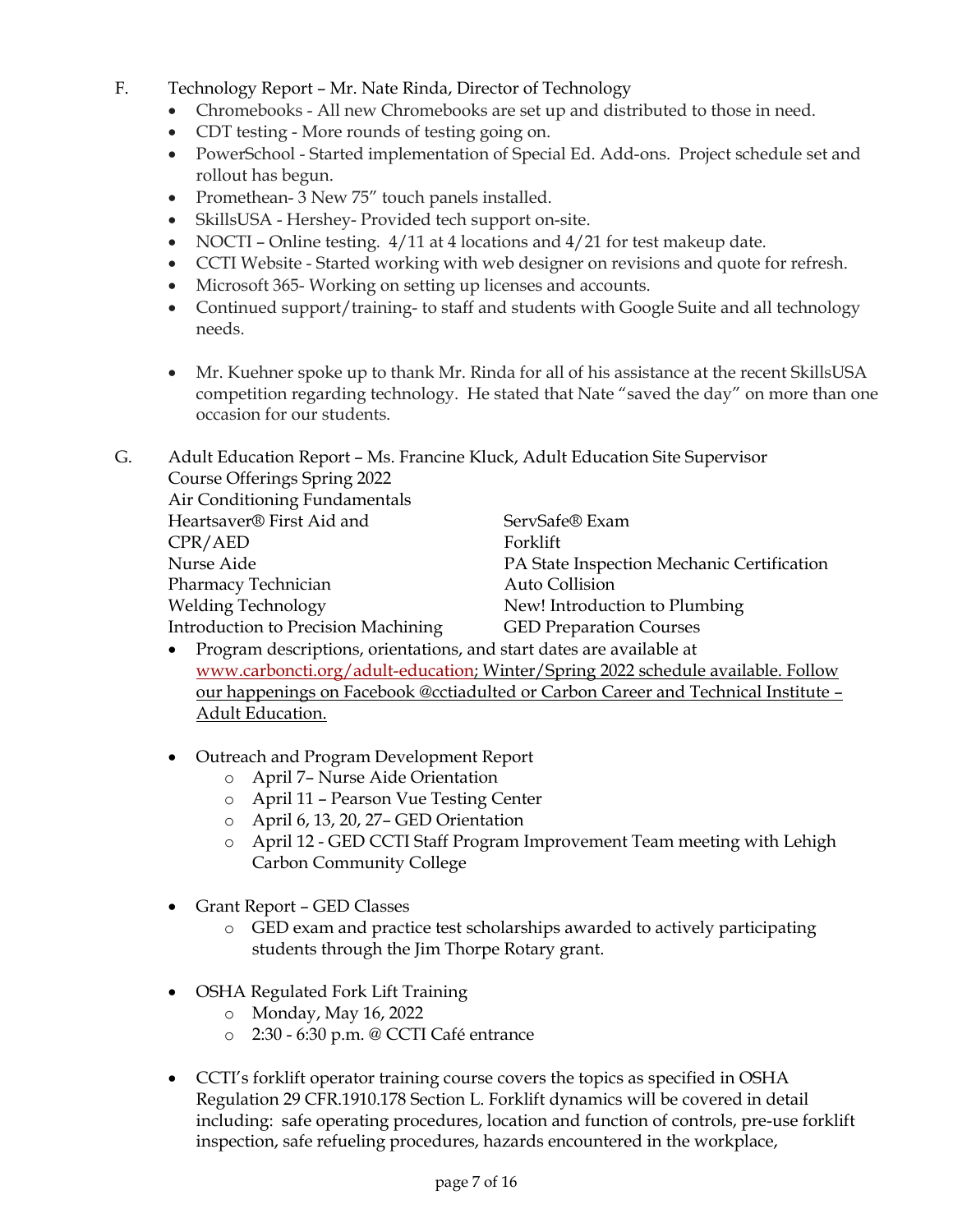- F. Technology Report Mr. Nate Rinda, Director of Technology
	- Chromebooks All new Chromebooks are set up and distributed to those in need.
	- CDT testing More rounds of testing going on.
	- PowerSchool Started implementation of Special Ed. Add-ons. Project schedule set and rollout has begun.
	- Promethean- 3 New 75" touch panels installed.
	- SkillsUSA Hershey- Provided tech support on-site.
	- NOCTI Online testing.  $4/11$  at 4 locations and  $4/21$  for test makeup date.
	- CCTI Website Started working with web designer on revisions and quote for refresh.
	- Microsoft 365- Working on setting up licenses and accounts.
	- Continued support/training- to staff and students with Google Suite and all technology needs.
	- Mr. Kuehner spoke up to thank Mr. Rinda for all of his assistance at the recent SkillsUSA competition regarding technology. He stated that Nate "saved the day" on more than one occasion for our students.

| G. | Adult Education Report - Ms. Francine Kluck, Adult Education Site Supervisor |                                            |
|----|------------------------------------------------------------------------------|--------------------------------------------|
|    | Course Offerings Spring 2022                                                 |                                            |
|    | Air Conditioning Fundamentals                                                |                                            |
|    | Heartsaver® First Aid and                                                    | ServSafe® Exam                             |
|    | CPR/ AED                                                                     | Forklift                                   |
|    | Nurse Aide                                                                   | PA State Inspection Mechanic Certification |
|    | Pharmacy Technician                                                          | Auto Collision                             |
|    | <b>Welding Technology</b>                                                    | New! Introduction to Plumbing              |
|    | Introduction to Precision Machining                                          | <b>GED Preparation Courses</b>             |
|    |                                                                              |                                            |

- Program descriptions, orientations, and start dates are available at [www.carboncti.org/adult-education;](http://www.carboncti.org/adult-education) Winter/Spring 2022 schedule available. Follow our happenings on Facebook @cctiadulted or Carbon Career and Technical Institute – Adult Education.
- Outreach and Program Development Report
	- o April 7– Nurse Aide Orientation
	- o April 11 Pearson Vue Testing Center
	- o April 6, 13, 20, 27– GED Orientation
	- o April 12 GED CCTI Staff Program Improvement Team meeting with Lehigh Carbon Community College
- Grant Report GED Classes
	- o GED exam and practice test scholarships awarded to actively participating students through the Jim Thorpe Rotary grant.
- OSHA Regulated Fork Lift Training
	- o Monday, May 16, 2022
	- o 2:30 6:30 p.m. @ CCTI Café entrance
- CCTI's forklift operator training course covers the topics as specified in OSHA Regulation 29 CFR.1910.178 Section L. Forklift dynamics will be covered in detail including: safe operating procedures, location and function of controls, pre-use forklift inspection, safe refueling procedures, hazards encountered in the workplace,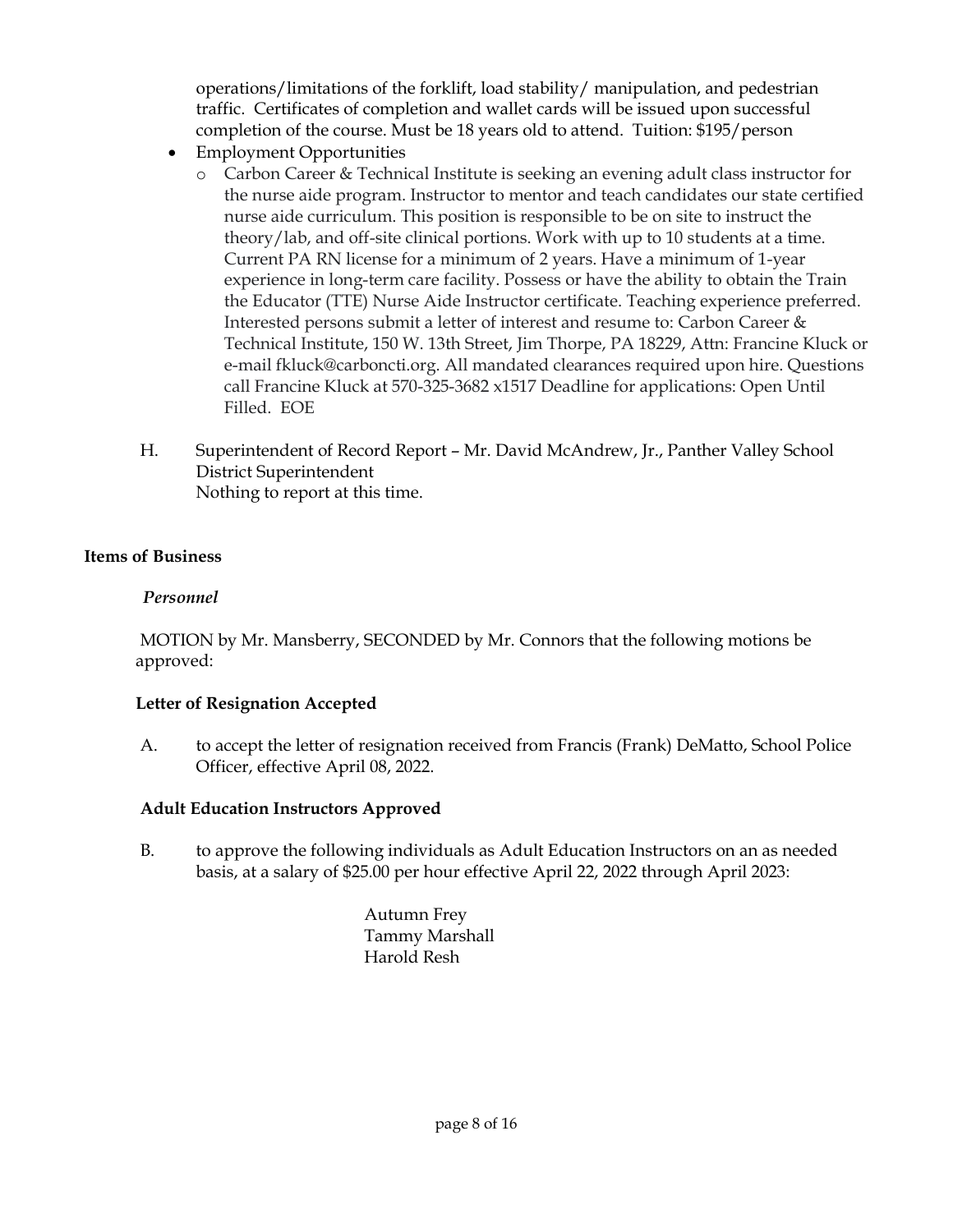operations/limitations of the forklift, load stability/ manipulation, and pedestrian traffic. Certificates of completion and wallet cards will be issued upon successful completion of the course. Must be 18 years old to attend. Tuition: \$195/person

- Employment Opportunities
	- o Carbon Career & Technical Institute is seeking an evening adult class instructor for the nurse aide program. Instructor to mentor and teach candidates our state certified nurse aide curriculum. This position is responsible to be on site to instruct the theory/lab, and off-site clinical portions. Work with up to 10 students at a time. Current PA RN license for a minimum of 2 years. Have a minimum of 1-year experience in long-term care facility. Possess or have the ability to obtain the Train the Educator (TTE) Nurse Aide Instructor certificate. Teaching experience preferred. Interested persons submit a letter of interest and resume to: Carbon Career & Technical Institute, 150 W. 13th Street, Jim Thorpe, PA 18229, Attn: Francine Kluck or e-mail fkluck@carboncti.org. All mandated clearances required upon hire. Questions call Francine Kluck at 570-325-3682 x1517 Deadline for applications: Open Until Filled. EOE
- H. Superintendent of Record Report Mr. David McAndrew, Jr., Panther Valley School District Superintendent Nothing to report at this time.

# **Items of Business**

# *Personnel*

MOTION by Mr. Mansberry, SECONDED by Mr. Connors that the following motions be approved:

# **Letter of Resignation Accepted**

A. to accept the letter of resignation received from Francis (Frank) DeMatto, School Police Officer, effective April 08, 2022.

# **Adult Education Instructors Approved**

B. to approve the following individuals as Adult Education Instructors on an as needed basis, at a salary of \$25.00 per hour effective April 22, 2022 through April 2023:

> Autumn Frey Tammy Marshall Harold Resh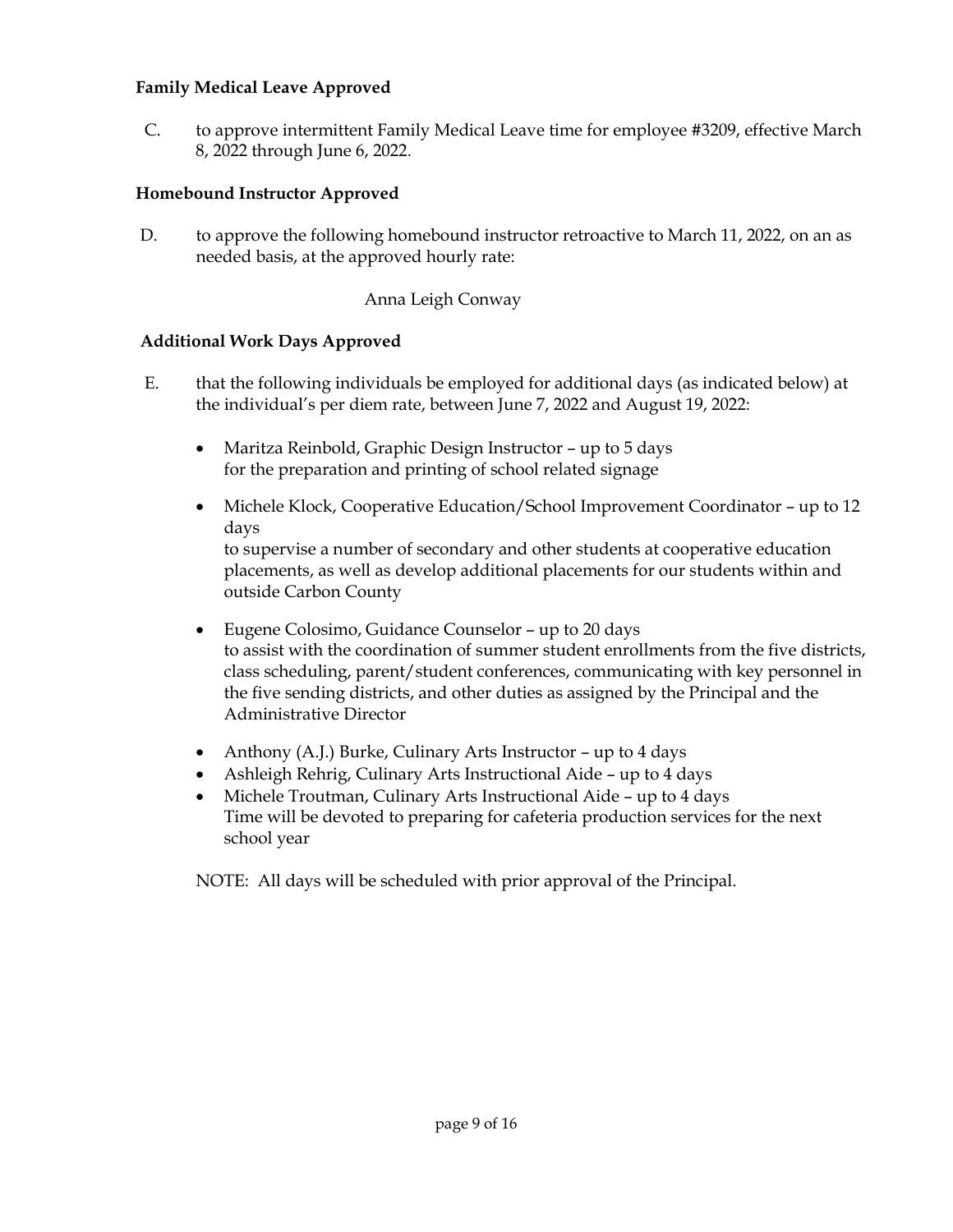## **Family Medical Leave Approved**

C. to approve intermittent Family Medical Leave time for employee #3209, effective March 8, 2022 through June 6, 2022.

# **Homebound Instructor Approved**

D. to approve the following homebound instructor retroactive to March 11, 2022, on an as needed basis, at the approved hourly rate:

## Anna Leigh Conway

#### **Additional Work Days Approved**

- E. that the following individuals be employed for additional days (as indicated below) at the individual's per diem rate, between June 7, 2022 and August 19, 2022:
	- Maritza Reinbold, Graphic Design Instructor up to 5 days for the preparation and printing of school related signage
	- Michele Klock, Cooperative Education/School Improvement Coordinator up to 12 days to supervise a number of secondary and other students at cooperative education placements, as well as develop additional placements for our students within and

outside Carbon County

- Eugene Colosimo, Guidance Counselor up to 20 days to assist with the coordination of summer student enrollments from the five districts, class scheduling, parent/student conferences, communicating with key personnel in the five sending districts, and other duties as assigned by the Principal and the Administrative Director
- Anthony (A.J.) Burke, Culinary Arts Instructor up to  $4$  days
- Ashleigh Rehrig, Culinary Arts Instructional Aide up to 4 days
- Michele Troutman, Culinary Arts Instructional Aide up to 4 days Time will be devoted to preparing for cafeteria production services for the next school year

NOTE: All days will be scheduled with prior approval of the Principal.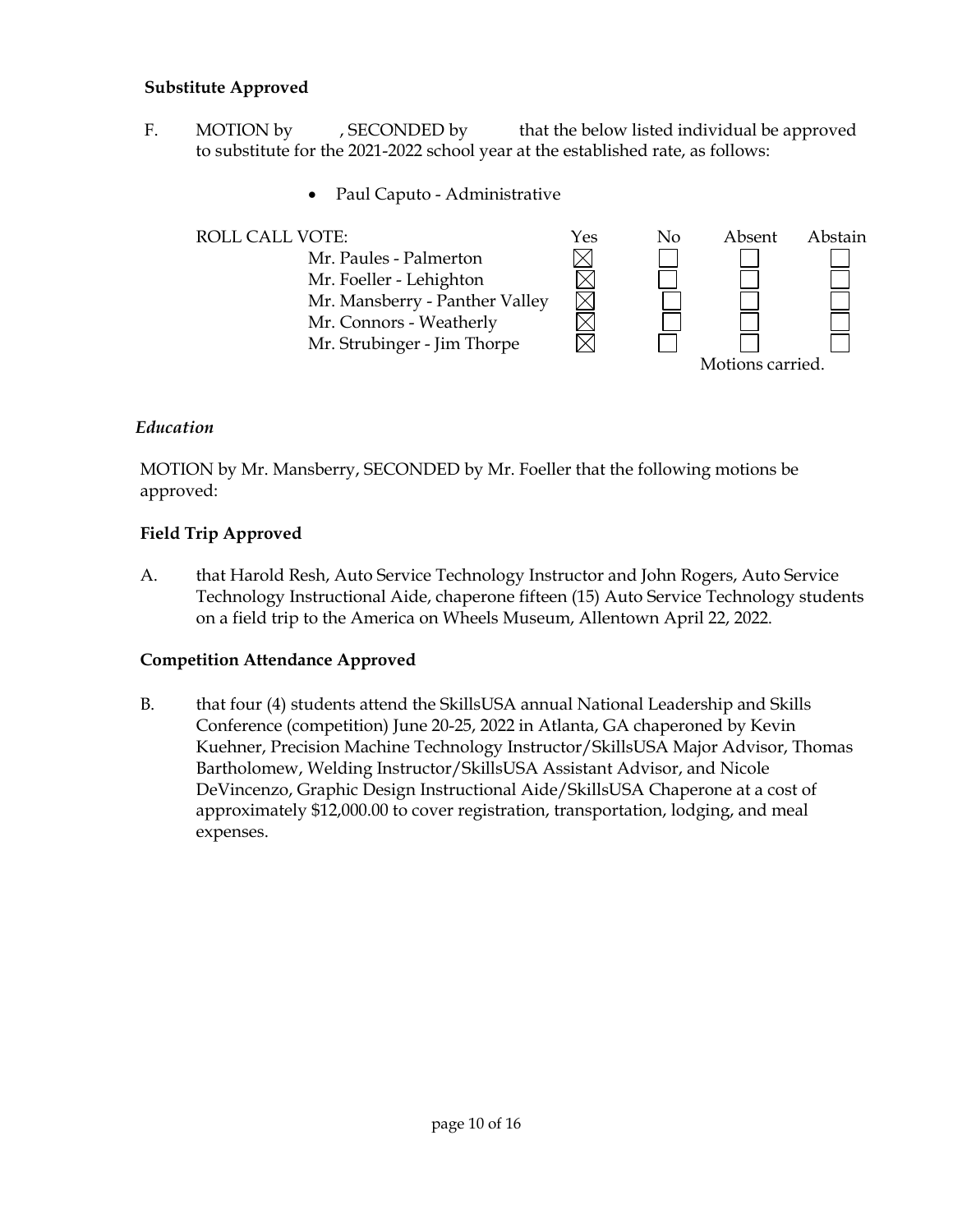#### **Substitute Approved**

- F. MOTION by , SECONDED by that the below listed individual be approved to substitute for the 2021-2022 school year at the established rate, as follows:
	- Paul Caputo Administrative



# *Education*

MOTION by Mr. Mansberry, SECONDED by Mr. Foeller that the following motions be approved:

# **Field Trip Approved**

A. that Harold Resh, Auto Service Technology Instructor and John Rogers, Auto Service Technology Instructional Aide, chaperone fifteen (15) Auto Service Technology students on a field trip to the America on Wheels Museum, Allentown April 22, 2022.

# **Competition Attendance Approved**

B. that four (4) students attend the SkillsUSA annual National Leadership and Skills Conference (competition) June 20-25, 2022 in Atlanta, GA chaperoned by Kevin Kuehner, Precision Machine Technology Instructor/SkillsUSA Major Advisor, Thomas Bartholomew, Welding Instructor/SkillsUSA Assistant Advisor, and Nicole DeVincenzo, Graphic Design Instructional Aide/SkillsUSA Chaperone at a cost of approximately \$12,000.00 to cover registration, transportation, lodging, and meal expenses.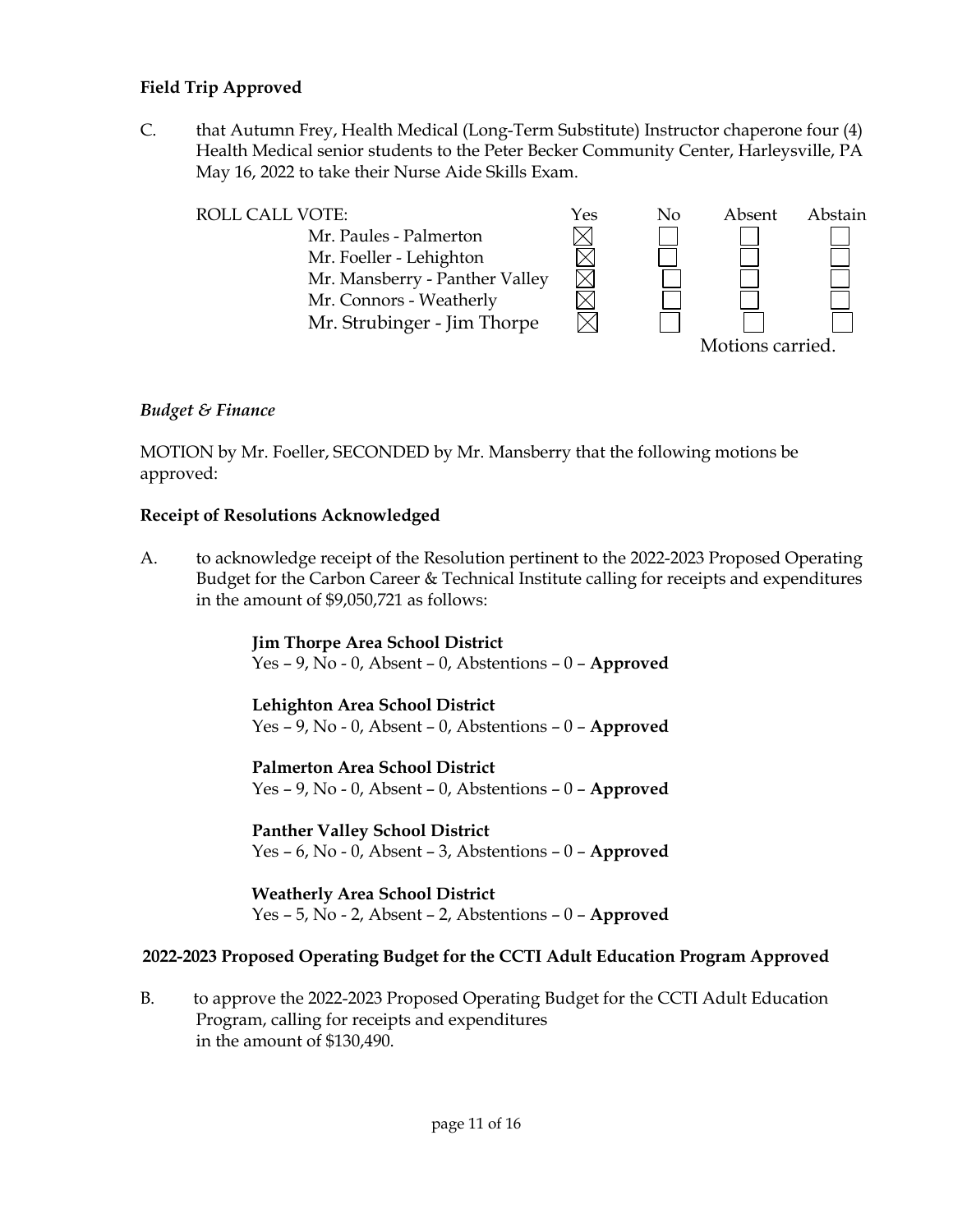## **Field Trip Approved**

C. that Autumn Frey, Health Medical (Long-Term Substitute) Instructor chaperone four (4) Health Medical senior students to the Peter Becker Community Center, Harleysville, PA May 16, 2022 to take their Nurse Aide Skills Exam.



## *Budget & Finance*

MOTION by Mr. Foeller, SECONDED by Mr. Mansberry that the following motions be approved:

#### **Receipt of Resolutions Acknowledged**

A. to acknowledge receipt of the Resolution pertinent to the 2022-2023 Proposed Operating Budget for the Carbon Career & Technical Institute calling for receipts and expenditures in the amount of \$9,050,721 as follows:

> **Jim Thorpe Area School District** Yes – 9, No - 0, Absent – 0, Abstentions – 0 – **Approved**

> **Lehighton Area School District** Yes – 9, No - 0, Absent – 0, Abstentions – 0 – **Approved**

> **Palmerton Area School District** Yes – 9, No - 0, Absent – 0, Abstentions – 0 – **Approved**

> **Panther Valley School District** Yes – 6, No - 0, Absent – 3, Abstentions – 0 – **Approved**

> **Weatherly Area School District** Yes – 5, No - 2, Absent – 2, Abstentions – 0 – **Approved**

# **2022-2023 Proposed Operating Budget for the CCTI Adult Education Program Approved**

B. to approve the 2022-2023 Proposed Operating Budget for the CCTI Adult Education Program, calling for receipts and expenditures in the amount of \$130,490.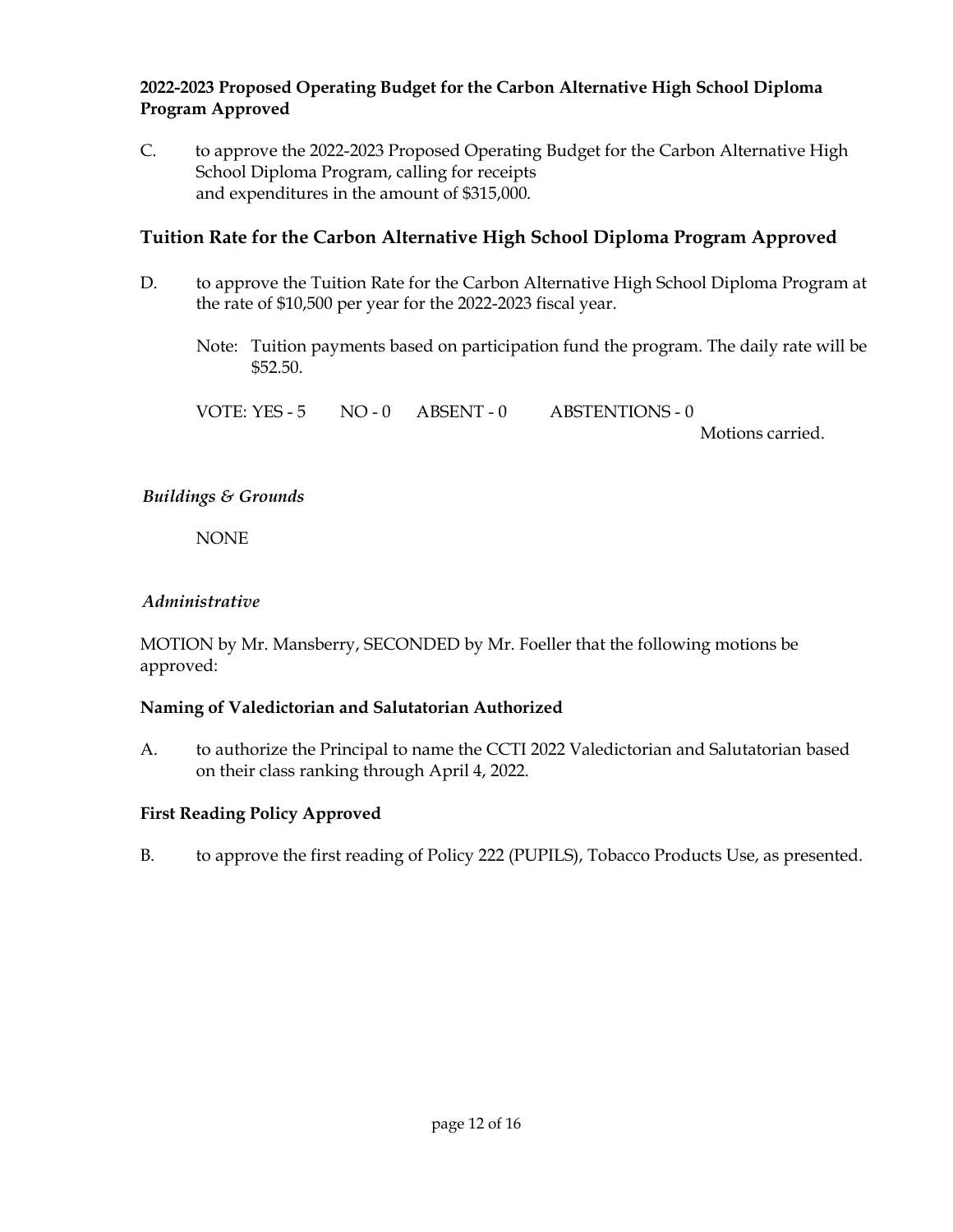# **2022-2023 Proposed Operating Budget for the Carbon Alternative High School Diploma Program Approved**

C. to approve the 2022-2023 Proposed Operating Budget for the Carbon Alternative High School Diploma Program, calling for receipts and expenditures in the amount of \$315,000.

# **Tuition Rate for the Carbon Alternative High School Diploma Program Approved**

- D. to approve the Tuition Rate for the Carbon Alternative High School Diploma Program at the rate of \$10,500 per year for the 2022-2023 fiscal year.
	- Note: Tuition payments based on participation fund the program. The daily rate will be \$52.50.

VOTE: YES - 5 NO - 0 ABSENT - 0 ABSTENTIONS - 0

Motions carried.

# *Buildings & Grounds*

NONE

# *Administrative*

MOTION by Mr. Mansberry, SECONDED by Mr. Foeller that the following motions be approved:

# **Naming of Valedictorian and Salutatorian Authorized**

A. to authorize the Principal to name the CCTI 2022 Valedictorian and Salutatorian based on their class ranking through April 4, 2022.

# **First Reading Policy Approved**

B. to approve the first reading of Policy 222 (PUPILS), Tobacco Products Use, as presented.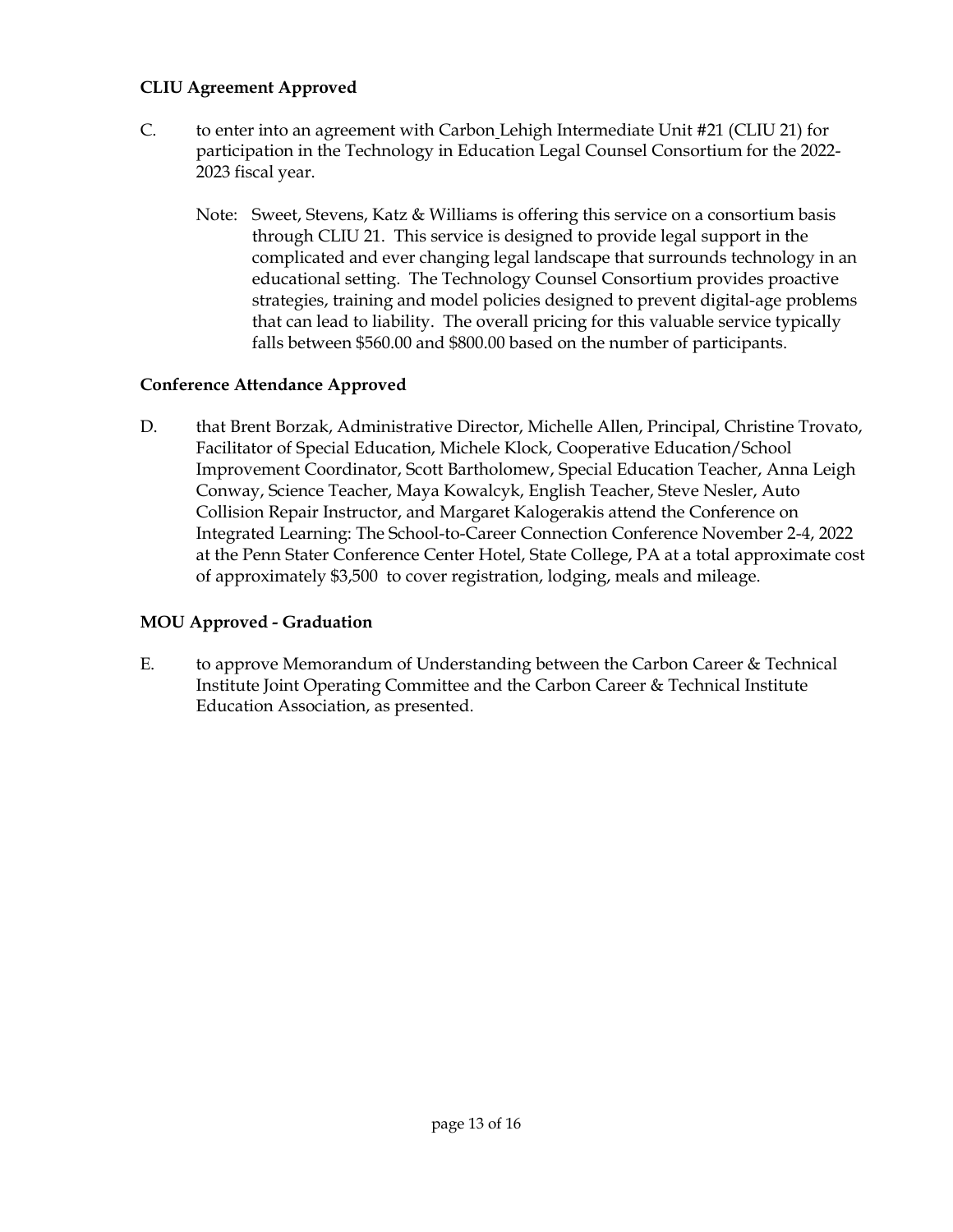## **CLIU Agreement Approved**

- C. to enter into an agreement with Carbon Lehigh Intermediate Unit #21 (CLIU 21) for participation in the Technology in Education Legal Counsel Consortium for the 2022- 2023 fiscal year.
	- Note: Sweet, Stevens, Katz & Williams is offering this service on a consortium basis through CLIU 21. This service is designed to provide legal support in the complicated and ever changing legal landscape that surrounds technology in an educational setting. The Technology Counsel Consortium provides proactive strategies, training and model policies designed to prevent digital-age problems that can lead to liability. The overall pricing for this valuable service typically falls between \$560.00 and \$800.00 based on the number of participants.

# **Conference Attendance Approved**

D. that Brent Borzak, Administrative Director, Michelle Allen, Principal, Christine Trovato, Facilitator of Special Education, Michele Klock, Cooperative Education/School Improvement Coordinator, Scott Bartholomew, Special Education Teacher, Anna Leigh Conway, Science Teacher, Maya Kowalcyk, English Teacher, Steve Nesler, Auto Collision Repair Instructor, and Margaret Kalogerakis attend the Conference on Integrated Learning: The School-to-Career Connection Conference November 2-4, 2022 at the Penn Stater Conference Center Hotel, State College, PA at a total approximate cost of approximately \$3,500 to cover registration, lodging, meals and mileage.

# **MOU Approved - Graduation**

E. to approve Memorandum of Understanding between the Carbon Career & Technical Institute Joint Operating Committee and the Carbon Career & Technical Institute Education Association, as presented.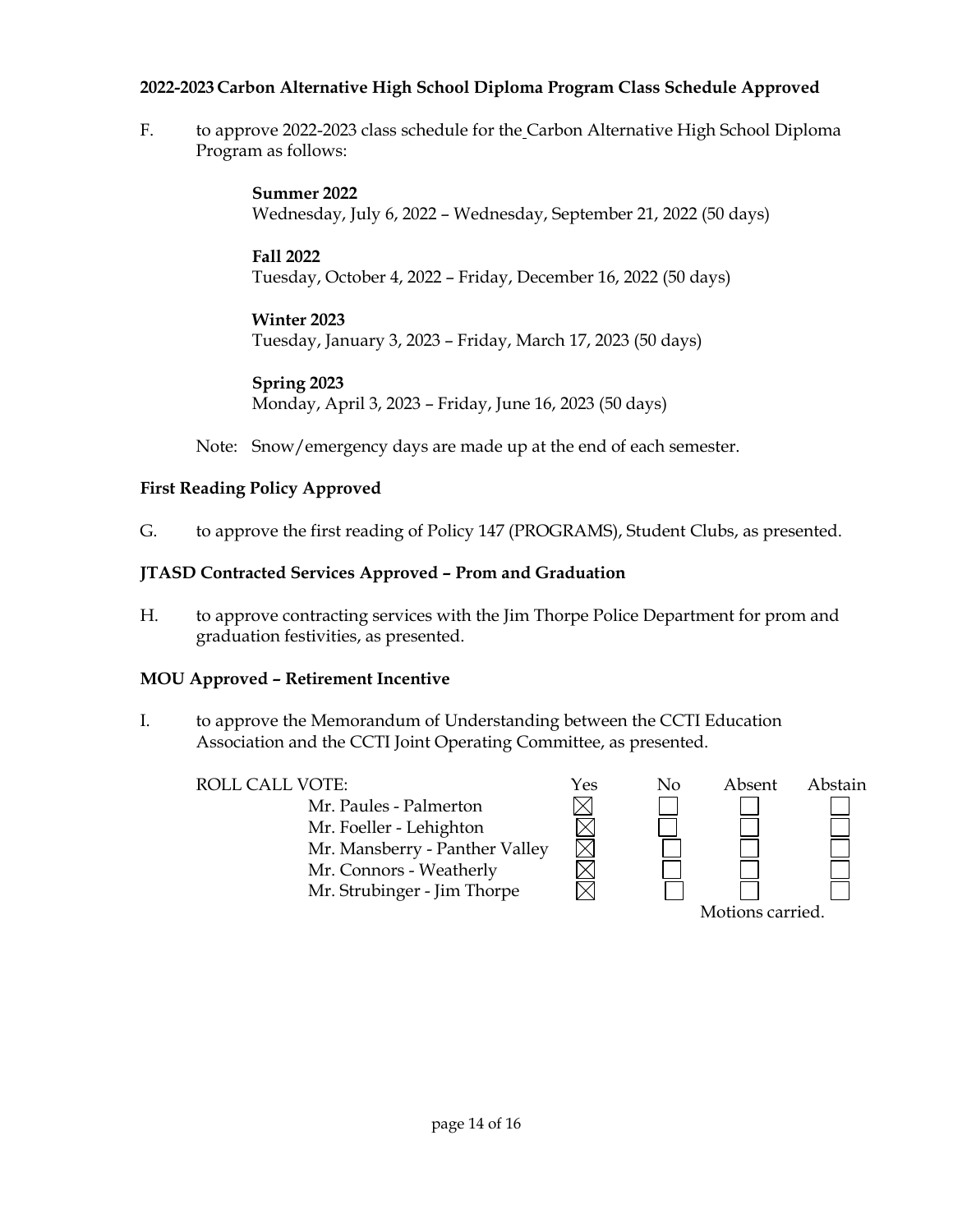## **2022-2023 Carbon Alternative High School Diploma Program Class Schedule Approved**

F. to approve 2022-2023 class schedule for the Carbon Alternative High School Diploma Program as follows:

> **Summer 2022** Wednesday, July 6, 2022 – Wednesday, September 21, 2022 (50 days)

**Fall 2022** Tuesday, October 4, 2022 – Friday, December 16, 2022 (50 days)

## **Winter 2023**

Tuesday, January 3, 2023 – Friday, March 17, 2023 (50 days)

**Spring 2023** Monday, April 3, 2023 – Friday, June 16, 2023 (50 days)

Note: Snow/emergency days are made up at the end of each semester.

# **First Reading Policy Approved**

G. to approve the first reading of Policy 147 (PROGRAMS), Student Clubs, as presented.

# **JTASD Contracted Services Approved – Prom and Graduation**

H. to approve contracting services with the Jim Thorpe Police Department for prom and graduation festivities, as presented.

# **MOU Approved – Retirement Incentive**

I. to approve the Memorandum of Understanding between the CCTI Education Association and the CCTI Joint Operating Committee, as presented.

Mr. Paules - Palmerton Mr. Foeller - Lehighton Mr. Mansberry - Panther Valley Mr. Connors - Weatherly Mr. Strubinger - Jim Thorpe

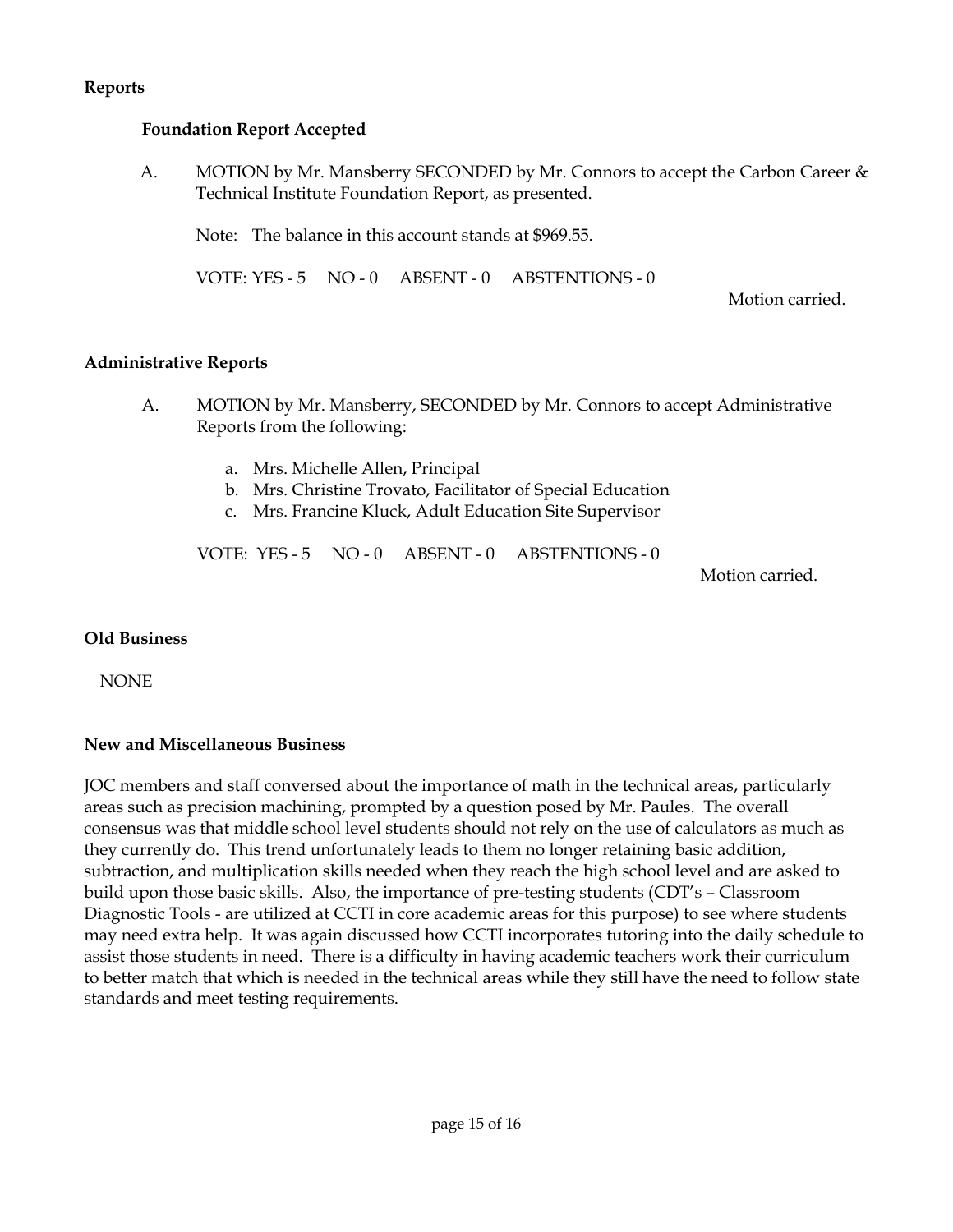#### **Reports**

#### **Foundation Report Accepted**

A. MOTION by Mr. Mansberry SECONDED by Mr. Connors to accept the Carbon Career & Technical Institute Foundation Report, as presented.

Note: The balance in this account stands at \$969.55.

VOTE: YES - 5 NO - 0 ABSENT - 0 ABSTENTIONS - 0

Motion carried.

#### **Administrative Reports**

- A. MOTION by Mr. Mansberry, SECONDED by Mr. Connors to accept Administrative Reports from the following:
	- a. Mrs. Michelle Allen, Principal
	- b. Mrs. Christine Trovato, Facilitator of Special Education
	- c. Mrs. Francine Kluck, Adult Education Site Supervisor

VOTE: YES - 5 NO - 0 ABSENT - 0 ABSTENTIONS - 0

Motion carried.

#### **Old Business**

NONE

#### **New and Miscellaneous Business**

JOC members and staff conversed about the importance of math in the technical areas, particularly areas such as precision machining, prompted by a question posed by Mr. Paules. The overall consensus was that middle school level students should not rely on the use of calculators as much as they currently do. This trend unfortunately leads to them no longer retaining basic addition, subtraction, and multiplication skills needed when they reach the high school level and are asked to build upon those basic skills. Also, the importance of pre-testing students (CDT's – Classroom Diagnostic Tools - are utilized at CCTI in core academic areas for this purpose) to see where students may need extra help. It was again discussed how CCTI incorporates tutoring into the daily schedule to assist those students in need. There is a difficulty in having academic teachers work their curriculum to better match that which is needed in the technical areas while they still have the need to follow state standards and meet testing requirements.